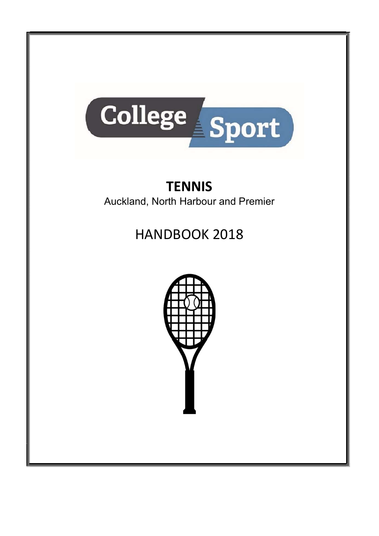

# **TENNIS**

Auckland, North Harbour and Premier

# HANDBOOK 2018

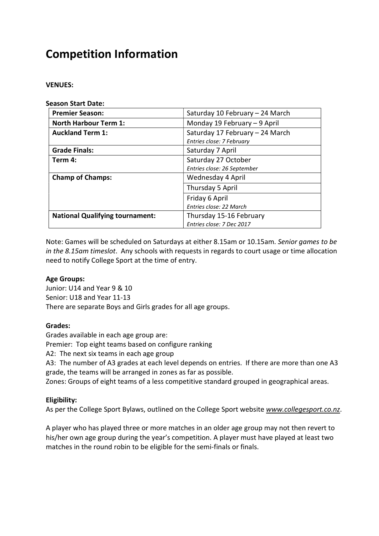# Competition Information

#### VENUES:

#### Season Start Date:

| <b>Premier Season:</b>                 | Saturday 10 February - 24 March |  |
|----------------------------------------|---------------------------------|--|
| <b>North Harbour Term 1:</b>           | Monday 19 February - 9 April    |  |
| <b>Auckland Term 1:</b>                | Saturday 17 February - 24 March |  |
|                                        | Entries close: 7 February       |  |
| <b>Grade Finals:</b>                   | Saturday 7 April                |  |
| Term 4:                                | Saturday 27 October             |  |
|                                        | Entries close: 26 September     |  |
| <b>Champ of Champs:</b>                | Wednesday 4 April               |  |
|                                        | Thursday 5 April                |  |
|                                        | Friday 6 April                  |  |
|                                        | Entries close: 22 March         |  |
| <b>National Qualifying tournament:</b> | Thursday 15-16 February         |  |
|                                        | Entries close: 7 Dec 2017       |  |

Note: Games will be scheduled on Saturdays at either 8.15am or 10.15am. Senior games to be in the 8.15am timeslot. Any schools with requests in regards to court usage or time allocation need to notify College Sport at the time of entry.

#### Age Groups:

Junior: U14 and Year 9 & 10 Senior: U18 and Year 11-13 There are separate Boys and Girls grades for all age groups.

#### Grades:

Grades available in each age group are: Premier: Top eight teams based on configure ranking

A2: The next six teams in each age group

A3: The number of A3 grades at each level depends on entries. If there are more than one A3 grade, the teams will be arranged in zones as far as possible.

Zones: Groups of eight teams of a less competitive standard grouped in geographical areas.

# Eligibility:

As per the College Sport Bylaws, outlined on the College Sport website www.collegesport.co.nz.

A player who has played three or more matches in an older age group may not then revert to his/her own age group during the year's competition. A player must have played at least two matches in the round robin to be eligible for the semi-finals or finals.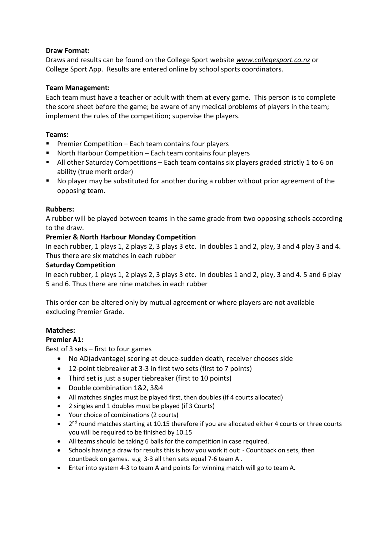# Draw Format:

Draws and results can be found on the College Sport website www.collegesport.co.nz or College Sport App. Results are entered online by school sports coordinators.

### Team Management:

Each team must have a teacher or adult with them at every game. This person is to complete the score sheet before the game; be aware of any medical problems of players in the team; implement the rules of the competition; supervise the players.

### Teams:

- **Premier Competition Each team contains four players**
- North Harbour Competition Each team contains four players
- All other Saturday Competitions Each team contains six players graded strictly 1 to 6 on ability (true merit order)
- No player may be substituted for another during a rubber without prior agreement of the opposing team.

### Rubbers:

A rubber will be played between teams in the same grade from two opposing schools according to the draw.

### Premier & North Harbour Monday Competition

In each rubber, 1 plays 1, 2 plays 2, 3 plays 3 etc. In doubles 1 and 2, play, 3 and 4 play 3 and 4. Thus there are six matches in each rubber

### Saturday Competition

In each rubber, 1 plays 1, 2 plays 2, 3 plays 3 etc. In doubles 1 and 2, play, 3 and 4. 5 and 6 play 5 and 6. Thus there are nine matches in each rubber

This order can be altered only by mutual agreement or where players are not available excluding Premier Grade.

# Matches:

# Premier A1:

Best of 3 sets – first to four games

- No AD(advantage) scoring at deuce-sudden death, receiver chooses side
- 12-point tiebreaker at 3-3 in first two sets (first to 7 points)
- Third set is just a super tiebreaker (first to 10 points)
- Double combination 1&2, 3&4
- All matches singles must be played first, then doubles (if 4 courts allocated)
- 2 singles and 1 doubles must be played (if 3 Courts)
- Your choice of combinations (2 courts)
- 2<sup>nd</sup> round matches starting at 10.15 therefore if you are allocated either 4 courts or three courts you will be required to be finished by 10.15
- All teams should be taking 6 balls for the competition in case required.
- Schools having a draw for results this is how you work it out: Countback on sets, then countback on games. e.g 3-3 all then sets equal 7-6 team A .
- Enter into system 4-3 to team A and points for winning match will go to team A.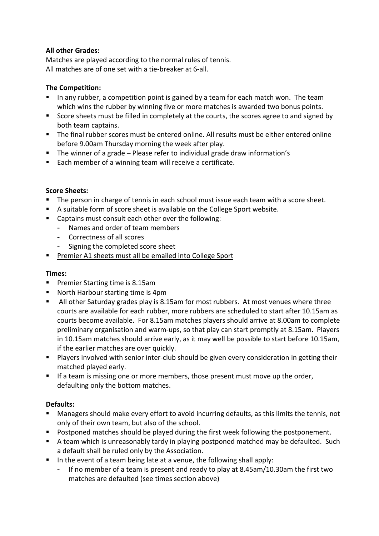# All other Grades:

Matches are played according to the normal rules of tennis. All matches are of one set with a tie-breaker at 6-all.

# The Competition:

- In any rubber, a competition point is gained by a team for each match won. The team which wins the rubber by winning five or more matches is awarded two bonus points.
- Score sheets must be filled in completely at the courts, the scores agree to and signed by both team captains.
- The final rubber scores must be entered online. All results must be either entered online before 9.00am Thursday morning the week after play.
- The winner of a grade Please refer to individual grade draw information's
- Each member of a winning team will receive a certificate.

### Score Sheets:

- The person in charge of tennis in each school must issue each team with a score sheet.
- A suitable form of score sheet is available on the College Sport website.
- Captains must consult each other over the following:
	- Names and order of team members
	- Correctness of all scores
	- Signing the completed score sheet
- **Premier A1 sheets must all be emailed into College Sport**

# Times:

- **Premier Starting time is 8.15am**
- North Harbour starting time is 4pm
- All other Saturday grades play is 8.15am for most rubbers. At most venues where three courts are available for each rubber, more rubbers are scheduled to start after 10.15am as courts become available. For 8.15am matches players should arrive at 8.00am to complete preliminary organisation and warm-ups, so that play can start promptly at 8.15am. Players in 10.15am matches should arrive early, as it may well be possible to start before 10.15am, if the earlier matches are over quickly.
- Players involved with senior inter-club should be given every consideration in getting their matched played early.
- If a team is missing one or more members, those present must move up the order, defaulting only the bottom matches.

# Defaults:

- Managers should make every effort to avoid incurring defaults, as this limits the tennis, not only of their own team, but also of the school.
- **Postponed matches should be played during the first week following the postponement.**
- A team which is unreasonably tardy in playing postponed matched may be defaulted. Such a default shall be ruled only by the Association.
- In the event of a team being late at a venue, the following shall apply:
	- If no member of a team is present and ready to play at 8.45am/10.30am the first two matches are defaulted (see times section above)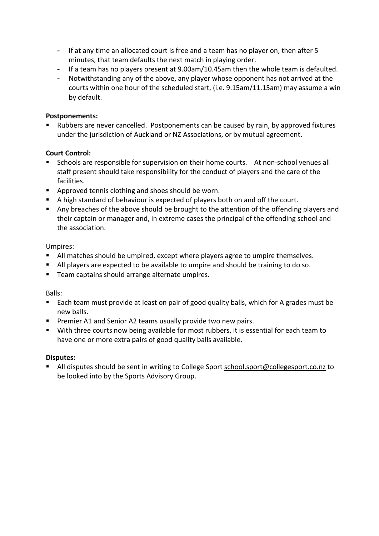- If at any time an allocated court is free and a team has no player on, then after 5 minutes, that team defaults the next match in playing order.
- If a team has no players present at 9.00am/10.45am then the whole team is defaulted.
- Notwithstanding any of the above, any player whose opponent has not arrived at the courts within one hour of the scheduled start, (i.e. 9.15am/11.15am) may assume a win by default.

#### Postponements:

 Rubbers are never cancelled. Postponements can be caused by rain, by approved fixtures under the jurisdiction of Auckland or NZ Associations, or by mutual agreement.

### Court Control:

- Schools are responsible for supervision on their home courts. At non-school venues all staff present should take responsibility for the conduct of players and the care of the facilities.
- **Approved tennis clothing and shoes should be worn.**
- A high standard of behaviour is expected of players both on and off the court.
- Any breaches of the above should be brought to the attention of the offending players and their captain or manager and, in extreme cases the principal of the offending school and the association.

#### Umpires:

- All matches should be umpired, except where players agree to umpire themselves.
- All players are expected to be available to umpire and should be training to do so.
- **Team captains should arrange alternate umpires.**

#### Balls:

- Each team must provide at least on pair of good quality balls, which for A grades must be new balls.
- **Premier A1 and Senior A2 teams usually provide two new pairs.**
- With three courts now being available for most rubbers, it is essential for each team to have one or more extra pairs of good quality balls available.

#### Disputes:

All disputes should be sent in writing to College Sport school.sport@collegesport.co.nz to be looked into by the Sports Advisory Group.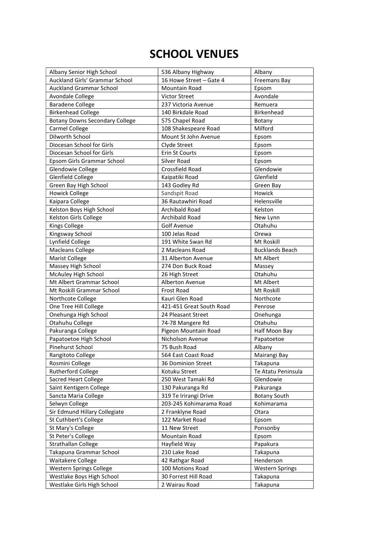# SCHOOL VENUES

| Albany Senior High School             | 536 Albany Highway       | Albany                 |
|---------------------------------------|--------------------------|------------------------|
| Auckland Girls' Grammar School        | 16 Howe Street - Gate 4  | <b>Freemans Bay</b>    |
| <b>Auckland Grammar School</b>        | Mountain Road            | Epsom                  |
| Avondale College                      | <b>Victor Street</b>     | Avondale               |
| <b>Baradene College</b>               | 237 Victoria Avenue      | Remuera                |
| <b>Birkenhead College</b>             | 140 Birkdale Road        | <b>Birkenhead</b>      |
| <b>Botany Downs Secondary College</b> | 575 Chapel Road          | Botany                 |
| Carmel College                        | 108 Shakespeare Road     | Milford                |
| Dilworth School                       | Mount St John Avenue     | Epsom                  |
| Diocesan School for Girls             | Clyde Street             | Epsom                  |
| Diocesan School for Girls             | <b>Erin St Courts</b>    | Epsom                  |
| Epsom Girls Grammar School            | Silver Road              | Epsom                  |
| Glendowie College                     | Crossfield Road          | Glendowie              |
| <b>Glenfield College</b>              | Kaipatiki Road           | Glenfield              |
| Green Bay High School                 | 143 Godley Rd            | Green Bay              |
| <b>Howick College</b>                 | Sandspit Road            | Howick                 |
| Kaipara College                       | 36 Rautawhiri Road       | Helensville            |
| Kelston Boys High School              | <b>Archibald Road</b>    | Kelston                |
| Kelston Girls College                 | Archibald Road           | New Lynn               |
| <b>Kings College</b>                  | <b>Golf Avenue</b>       | Otahuhu                |
| Kingsway School                       | 100 Jelas Road           | Orewa                  |
| Lynfield College                      | 191 White Swan Rd        | Mt Roskill             |
| Macleans College                      | 2 Macleans Road          | <b>Bucklands Beach</b> |
| <b>Marist College</b>                 | 31 Alberton Avenue       | Mt Albert              |
| Massey High School                    | 274 Don Buck Road        | Massey                 |
| McAuley High School                   | 26 High Street           | Otahuhu                |
| Mt Albert Grammar School              | Alberton Avenue          | Mt Albert              |
| Mt Roskill Grammar School             | Frost Road               | Mt Roskill             |
| Northcote College                     | Kauri Glen Road          | Northcote              |
| One Tree Hill College                 | 421-451 Great South Road | Penrose                |
| Onehunga High School                  | 24 Pleasant Street       | Onehunga               |
| Otahuhu College                       | 74-78 Mangere Rd         | Otahuhu                |
| Pakuranga College                     | Pigeon Mountain Road     | Half Moon Bay          |
| Papatoetoe High School                | Nicholson Avenue         | Papatoetoe             |
| Pinehurst School                      | 75 Bush Road             | Albany                 |
| Rangitoto College                     | 564 East Coast Road      | Mairangi Bay           |
| Rosmini College                       | 36 Dominion Street       | Takapuna               |
| Rutherford College                    | Kotuku Street            | Te Atatu Peninsula     |
| <b>Sacred Heart College</b>           | 250 West Tamaki Rd       | Glendowie              |
| Saint Kentigern College               | 130 Pakuranga Rd         | Pakuranga              |
| Sancta Maria College                  | 319 Te Irirangi Drive    | <b>Botany South</b>    |
| Selwyn College                        | 203-245 Kohimarama Road  | Kohimarama             |
| Sir Edmund Hillary Collegiate         | 2 Franklyne Road         | Otara                  |
| St Cuthbert's College                 | 122 Market Road          | Epsom                  |
| St Mary's College                     | 11 New Street            | Ponsonby               |
| St Peter's College                    | Mountain Road            | Epsom                  |
| Strathallan College                   | Hayfield Way             | Papakura               |
| Takapuna Grammar School               | 210 Lake Road            | Takapuna               |
| Waitakere College                     | 42 Rathgar Road          | Henderson              |
| Western Springs College               | 100 Motions Road         | <b>Western Springs</b> |
| Westlake Boys High School             | 30 Forrest Hill Road     | Takapuna               |
| Westlake Girls High School            | 2 Wairau Road            | Takapuna               |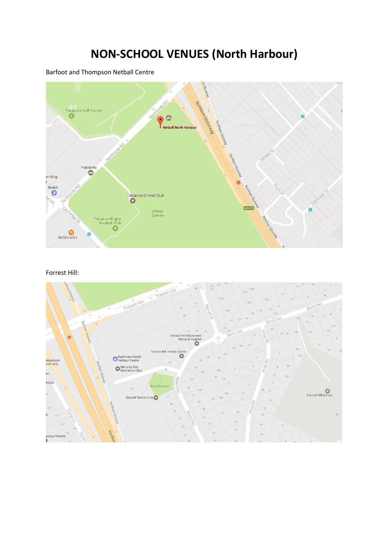# NON-SCHOOL VENUES (North Harbour)

#### Barfoot and Thompson Netball Centre



#### Forrest Hill: